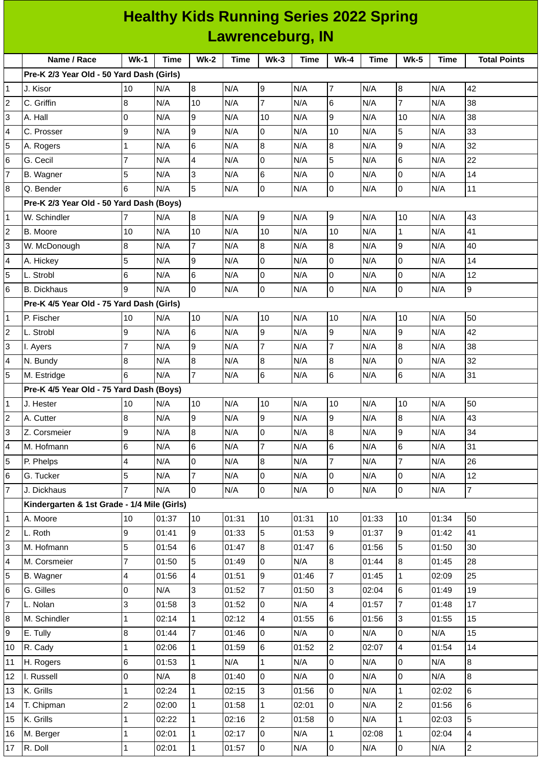|                | <b>Healthy Kids Running Series 2022 Spring</b> |                |       |                 |                  |                  |             |                |             |                          |             |                         |
|----------------|------------------------------------------------|----------------|-------|-----------------|------------------|------------------|-------------|----------------|-------------|--------------------------|-------------|-------------------------|
|                |                                                |                |       |                 | Lawrenceburg, IN |                  |             |                |             |                          |             |                         |
|                | Name / Race                                    | $Wk-1$         | Time  | <b>Wk-2</b>     | <b>Time</b>      | $Wk-3$           | <b>Time</b> | $Wk-4$         | <b>Time</b> | <b>Wk-5</b>              | <b>Time</b> | <b>Total Points</b>     |
|                | Pre-K 2/3 Year Old - 50 Yard Dash (Girls)      |                |       |                 |                  |                  |             |                |             |                          |             |                         |
| $\mathbf{1}$   | J. Kisor                                       | 10             | N/A   | 8               | N/A              | 9                | N/A         | $\overline{7}$ | N/A         | 8                        | N/A         | 42                      |
| 2              | C. Griffin                                     | 8              | N/A   | 10              | N/A              | $\overline{7}$   | N/A         | 6              | N/A         | $\overline{7}$           | N/A         | 38                      |
| 3              | A. Hall                                        | 0              | N/A   | 9               | N/A              | 10               | N/A         | 9              | N/A         | 10                       | N/A         | 38                      |
| 4              | C. Prosser                                     | 9              | N/A   | 9               | N/A              | 0                | N/A         | 10             | N/A         | 5                        | N/A         | 33                      |
| 5              | A. Rogers                                      | $\mathbf{1}$   | N/A   | $6\phantom{.}6$ | N/A              | $\boldsymbol{8}$ | N/A         | 8              | N/A         | 9                        | N/A         | 32                      |
| 6              | G. Cecil                                       | $\overline{7}$ | N/A   | $\overline{4}$  | N/A              | 0                | N/A         | 5              | N/A         | 6                        | N/A         | 22                      |
| 7              | B. Wagner                                      | 5              | N/A   | 3               | N/A              | 6                | N/A         | 0              | N/A         | $\overline{0}$           | N/A         | 14                      |
| 8              | Q. Bender                                      | 6              | N/A   | 5               | N/A              | 0                | N/A         | 0              | N/A         | l0                       | N/A         | 11                      |
|                | Pre-K 2/3 Year Old - 50 Yard Dash (Boys)       |                |       |                 |                  |                  |             |                |             |                          |             |                         |
| 1              | W. Schindler                                   | 7              | N/A   | 8               | N/A              | 9                | N/A         | $\overline{9}$ | N/A         | 10                       | N/A         | 43                      |
| 2              | B. Moore                                       | 10             | N/A   | 10              | N/A              | 10               | N/A         | 10             | N/A         | $\mathbf{1}$             | N/A         | 41                      |
| 3              | W. McDonough                                   | 8              | N/A   | $\overline{7}$  | N/A              | 8                | N/A         | 8              | N/A         | 9                        | N/A         | 40                      |
| 4              | A. Hickey                                      | 5              | N/A   | 9               | N/A              | 0                | N/A         | 0              | N/A         | 0                        | N/A         | 14                      |
| 5              | L. Strobl                                      | 6              | N/A   | $6\overline{6}$ | N/A              | 0                | N/A         | $\mathsf 0$    | N/A         | l0                       | N/A         | 12                      |
| 6              | <b>B.</b> Dickhaus                             | 9              | N/A   | l0              | N/A              | 0                | N/A         | 0              | N/A         | 0                        | N/A         | 9                       |
|                | Pre-K 4/5 Year Old - 75 Yard Dash (Girls)      |                |       |                 |                  |                  |             |                |             |                          |             |                         |
| 1              | P. Fischer                                     | 10             | N/A   | 10              | N/A              | 10               | N/A         | 10             | N/A         | 10                       | N/A         | 50                      |
| 2              | L. Strobl                                      | 9              | N/A   | $\,6$           | N/A              | 9                | N/A         | $\overline{9}$ | N/A         | 9                        | N/A         | 42                      |
| 3              | I. Ayers                                       | $\overline{7}$ | N/A   | 9               | N/A              | $\overline{7}$   | N/A         | $\overline{7}$ | N/A         | 8                        | N/A         | 38                      |
| 4              | N. Bundy                                       | 8              | N/A   | 8               | N/A              | 8                | N/A         | 8              | N/A         | 0                        | N/A         | 32                      |
| 5              | M. Estridge                                    | 6              | N/A   | $\overline{7}$  | N/A              | 6                | N/A         | 6              | N/A         | 6                        | N/A         | 31                      |
|                | Pre-K 4/5 Year Old - 75 Yard Dash (Boys)       |                |       |                 |                  |                  |             |                |             |                          |             |                         |
| 1              | J. Hester                                      | 10             | N/A   | 10              | N/A              | 10               | N/A         | 10             | N/A         | 10                       | N/A         | 50                      |
| 2              | A. Cutter                                      | 8              | N/A   | 9               | N/A              | $\boldsymbol{9}$ | N/A         | 9              | N/A         | 8                        | N/A         | 43                      |
| 3              | Z. Corsmeier                                   | 9              | N/A   | $\overline{8}$  | N/A              | 0                | N/A         | 8              | N/A         | 9                        | N/A         | 34                      |
| 4              | M. Hofmann                                     | 6              | N/A   | 6               | N/A              | $\overline{7}$   | N/A         | 6              | N/A         | 6                        | N/A         | 31                      |
| 5              | P. Phelps                                      | 4              | N/A   | l0              | N/A              | 8                | N/A         | $\overline{7}$ | N/A         | $\overline{7}$           | N/A         | 26                      |
| 6              | G. Tucker                                      | 5              | N/A   | $\overline{7}$  | N/A              | 0                | N/A         | 0              | N/A         | $\overline{0}$           | N/A         | 12                      |
| $\overline{7}$ | J. Dickhaus                                    | $\overline{7}$ | N/A   | l0              | N/A              | 0                | N/A         | 0              | N/A         | 0                        | N/A         | $\overline{7}$          |
|                | Kindergarten & 1st Grade - 1/4 Mile (Girls)    |                |       |                 |                  |                  |             |                |             |                          |             |                         |
| 1              | A. Moore                                       | 10             | 01:37 | 10              | 01:31            | 10               | 01:31       | $10\,$         | 01:33       | 10                       | 01:34       | 50                      |
| 2              | L. Roth                                        | 9              | 01:41 | 9               | 01:33            | 5                | 01:53       | 9              | 01:37       | 9                        | 01:42       | 41                      |
| 3              | M. Hofmann                                     | 5              | 01:54 | 6               | 01:47            | 8                | 01:47       | 6              | 01:56       | 5                        | 01:50       | 30                      |
| 4              | M. Corsmeier                                   | $\overline{7}$ | 01:50 | 5               | 01:49            | $\overline{0}$   | N/A         | 8              | 01:44       | 8                        | 01:45       | 28                      |
| 5              | B. Wagner                                      | 4              | 01:56 | $\overline{4}$  | 01:51            | 9                | 01:46       | $\overline{7}$ | 01:45       | $\mathbf{1}$             | 02:09       | 25                      |
| 6              | G. Gilles                                      | 0              | N/A   | Iз              | 01:52            | 7                | 01:50       | 3              | 02:04       | 6                        | 01:49       | 19                      |
| 7              | L. Nolan                                       | 3              | 01:58 | 3               | 01:52            | 0                | N/A         | 4              | 01:57       | $\overline{7}$           | 01:48       | 17                      |
| 8              | M. Schindler                                   | $\mathbf 1$    | 02:14 | $\overline{1}$  | 02:12            | 4                | 01:55       | 6              | 01:56       | 3                        | 01:55       | 15                      |
| 9              | E. Tully                                       | 8              | 01:44 | $\overline{7}$  | 01:46            | 0                | N/A         | 0              | N/A         | 0                        | N/A         | 15                      |
| 10             | R. Cady                                        | $\mathbf 1$    | 02:06 | $\mathbf{1}$    | 01:59            | 6                | 01:52       | $\overline{c}$ | 02:07       | $\overline{\mathcal{A}}$ | 01:54       | 14                      |
| 11             | H. Rogers                                      | 6              | 01:53 | $\overline{1}$  | N/A              | $\mathbf 1$      | N/A         | 0              | N/A         | 0                        | N/A         | 8                       |
| 12             | I. Russell                                     | 0              | N/A   | 8               | 01:40            | 0                | N/A         | 0              | N/A         | 0                        | N/A         | $\, 8$                  |
| 13             | K. Grills                                      | $\mathbf 1$    | 02:24 | $\mathbf{1}$    | 02:15            | 3                | 01:56       | $\overline{0}$ | N/A         | $\mathbf 1$              | 02:02       | $\,6$                   |
| 14             | T. Chipman                                     | $\overline{c}$ | 02:00 | $\overline{1}$  | 01:58            | $\mathbf{1}$     | 02:01       | 0              | N/A         | $\overline{2}$           | 01:56       | 6                       |
| 15             | K. Grills                                      | $\mathbf 1$    | 02:22 | $\mathbf{1}$    | 02:16            | $\overline{c}$   | 01:58       | 0              | N/A         | $\mathbf{1}$             | 02:03       | 5                       |
| 16             | M. Berger                                      | $\mathbf 1$    | 02:01 | $\vert$ 1       | 02:17            | 0                | N/A         | $\mathbf 1$    | 02:08       | $\vert$ 1                | 02:04       | $\overline{\mathbf{4}}$ |
| 17             | R. Doll                                        | $\mathbf{1}$   | 02:01 | $\mathbf{1}$    | 01:57            | $\overline{0}$   | N/A         | $\overline{0}$ | N/A         | 0                        | N/A         | $\overline{2}$          |